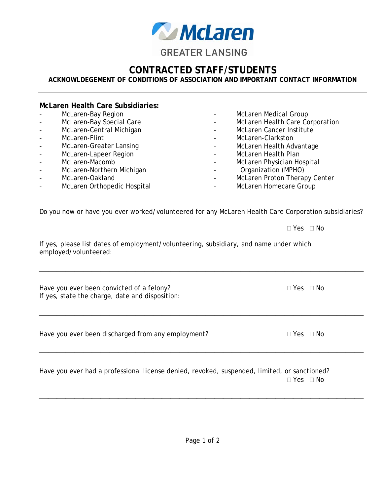

## **CONTRACTED STAFF/STUDENTS**

## **ACKNOWLDEGEMENT OF CONDITIONS OF ASSOCIATION AND IMPORTANT CONTACT INFORMATION**

## **McLaren Health Care Subsidiaries:**  - McLaren-Bay Region McLaren-Bay Special Care McLaren-Central Michigan McLaren-Flint McLaren-Greater Lansing McLaren-Lapeer Region McLaren-Macomb McLaren-Northern Michigan McLaren-Oakland McLaren Orthopedic Hospital McLaren Medical Group McLaren Health Care Corporation - McLaren Cancer Institute McLaren-Clarkston McLaren Health Advantage McLaren Health Plan McLaren Physician Hospital - Organization (MPHO) McLaren Proton Therapy Center McLaren Homecare Group

Do you now or have you ever worked/volunteered for any McLaren Health Care Corporation subsidiaries?

If yes, please list dates of employment/volunteering, subsidiary, and name under which employed/volunteered:

Have you ever been convicted of a felony?  $\Box$  Yes  $\Box$  No If yes, state the charge, date and disposition:

Have you ever been discharged from any employment?  $\Box$  Yes  $\Box$  No

Have you ever had a professional license denied, revoked, suspended, limited, or sanctioned?  $\Box$  Yes  $\Box$  No

 $\Box$  Yes  $\Box$  No